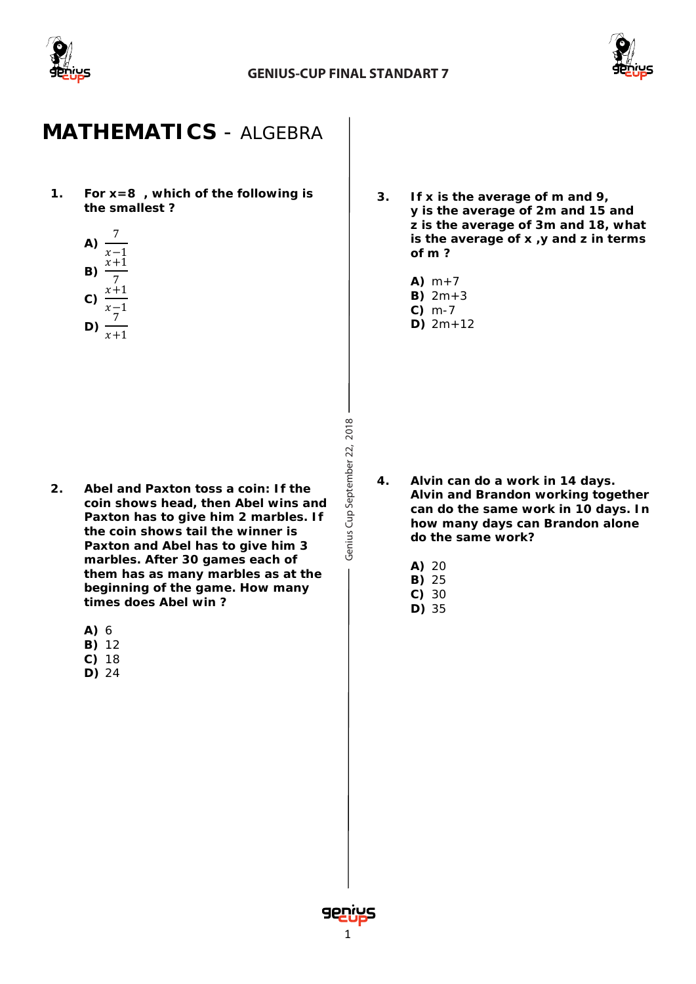

Genius Cup September 22, 2018



### **MATHEMATICS** *- ALGEBRA*

**1. For x=8 , which of the following is the smallest ?**

A) 
$$
\frac{7}{x-1}
$$
  
\nB)  $\frac{x+1}{7}$   
\nC)  $\frac{x+1}{x-1}$   
\nD)  $\frac{x}{x+1}$ 

**2. Abel and Paxton toss a coin: If the coin shows head, then Abel wins and Paxton has to give him 2 marbles. If the coin shows tail the winner is Paxton and Abel has to give him 3 marbles. After 30 games each of them has as many marbles as at the beginning of the game. How many times does Abel win ?**

**A)** 6

- **B)** 12
- **C)** 18
- **D)** 24
- **3. If x is the average of m and 9, y is the average of 2m and 15 and z is the average of 3m and 18, what is the average of x ,y and z in terms of m ?**
	- A)  $m+7$
	- **B)** 2m+3
	- **C)** m-7
	- **D)** 2m+12

- **4. Alvin can do a work in 14 days. Alvin and Brandon working together can do the same work in 10 days. In how many days can Brandon alone do the same work?**
	- **A)** 20
	- **B)** 25
	- **C)** 30
	- **D)** 35

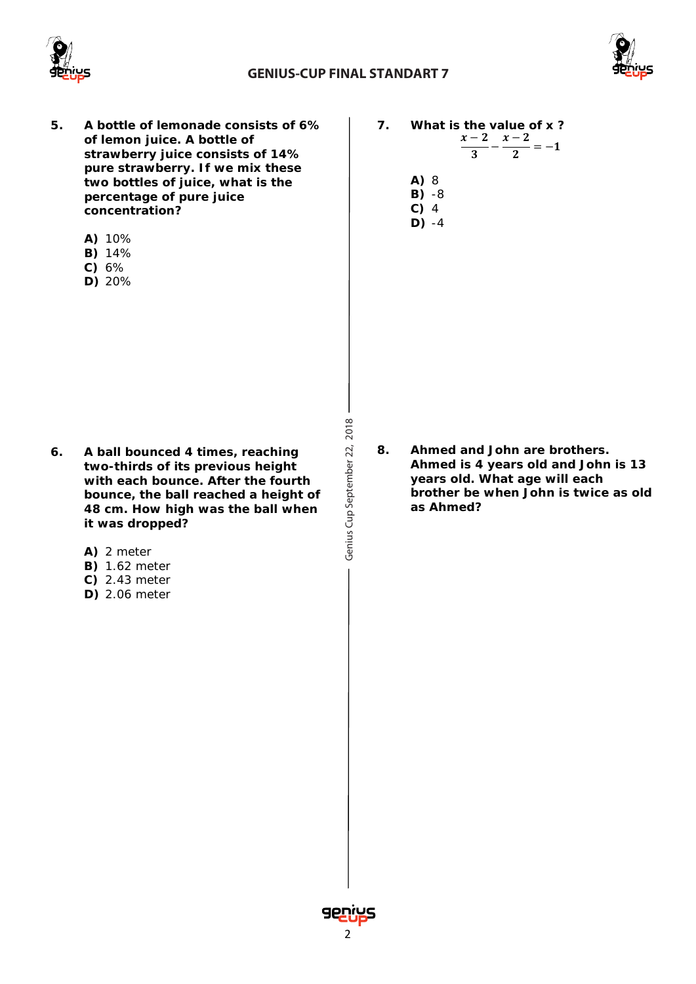



- **5. A bottle of lemonade consists of 6% of lemon juice. A bottle of strawberry juice consists of 14% pure strawberry. If we mix these two bottles of juice, what is the percentage of pure juice concentration?**
	- **A)** 10%
	- **B)** 14%
	- **C)** 6%
	- **D)** 20%

- **6. A ball bounced 4 times, reaching two-thirds of its previous height with each bounce. After the fourth bounce, the ball reached a height of 48 cm. How high was the ball when it was dropped?**
	- **A)** 2 meter
	- **B)** 1.62 meter
	- **C)** 2.43 meter
	- **D)** 2.06 meter

Genius Cup September 22, 2018 Cup September 22, 2018

- **7. What is the value of x ?**  $\frac{x-2}{3} - \frac{x-2}{2} = -1$ 
	- **A)** 8
	- **B)** -8
	- **C)** 4 **D)** -4

**8. Ahmed and John are brothers. Ahmed is 4 years old and John is 13 years old. What age will each brother be when John is twice as old as Ahmed?**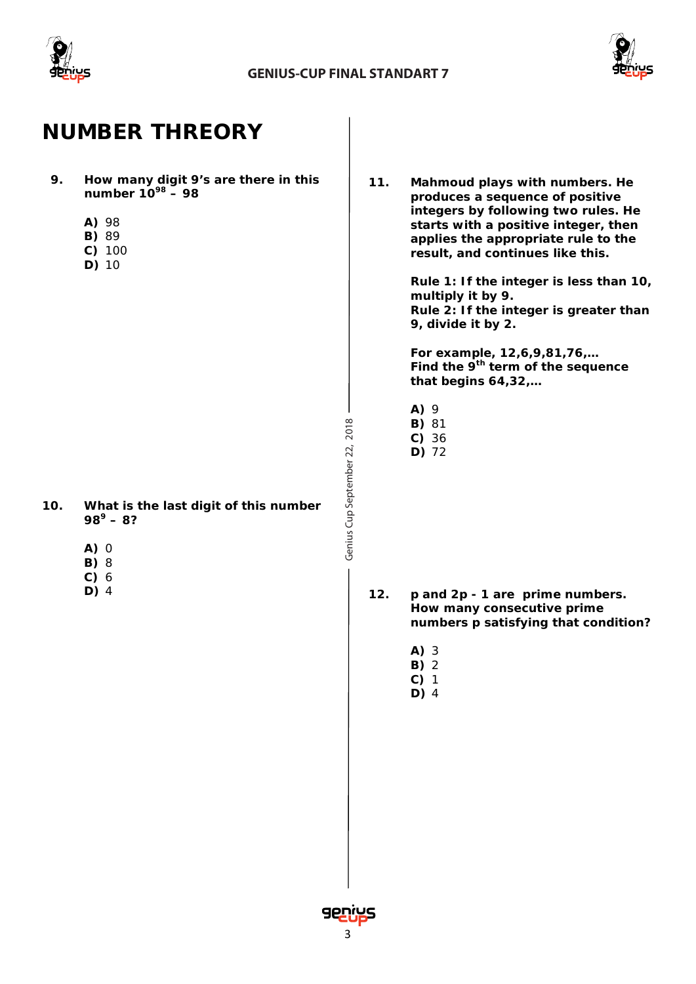



# **NUMBER THREORY**

- **9. How many digit 9's are there in this number 1098 – 98** 
	- **A)** 98
	- **B)** 89
	- **C)** 100
	- **D)** 10

- **10. What is the last digit of this number 98<sup>9</sup> – 8?** 
	- **A)** 0
	- **B)** 8
	- **C)** 6
	- **D)** 4

**11. Mahmoud plays with numbers. He produces a sequence of positive integers by following two rules. He starts with a positive integer, then applies the appropriate rule to the result, and continues like this.**

> **Rule 1: If the integer is less than 10, multiply it by 9. Rule 2: If the integer is greater than 9, divide it by 2.**

**For example, 12,6,9,81,76,… Find the 9th term of the sequence that begins 64,32,…** 

- **A)** 9
- **B)** 81
- **C)** 36
- **D)** 72

Cup September 22, 2018

Genius Cup September 22, 2018

- **12.** *p* **and 2***p* **- 1 are prime numbers. How many consecutive prime numbers** *p* **satisfying that condition?**
	- **A)** 3
	- **B)** 2
	- **C)** 1 **D)** 4
- senius Cenius II and the contract of the contract of the contract of the contract of the contract of the contract of the contract of the contract of the contract of the contract of the contract of the contract of the contr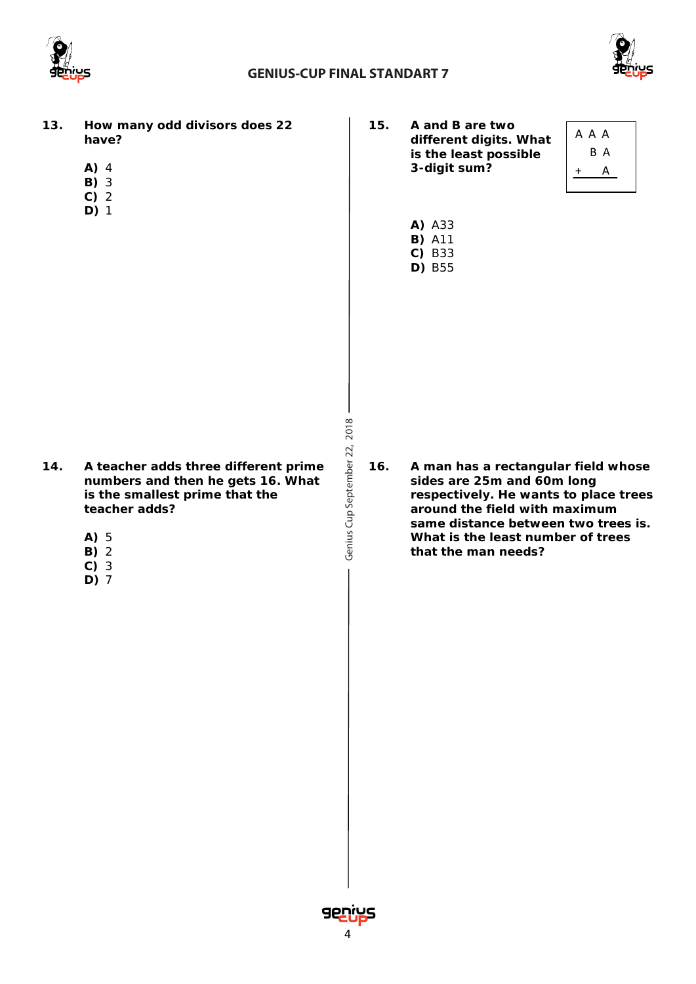

Genius Cup September 22, 2018



- **13. How many odd divisors does 22 have?** 
	- **A)** 4
	- **B)** 3
	- **C)** 2
	- **D)** 1

- **14. A teacher adds three different prime numbers and then he gets 16. What is the smallest prime that the teacher adds?**
	- **A)** 5
	- **B)** 2
	- **C)** 3
	- **D)** 7

**15. A and B are two different digits. What is the least possible 3-digit sum?**



**A)** A33 **B)** A11 **C)** B33 **D)** B55

**16. A man has a rectangular field whose sides are 25m and 60m long respectively. He wants to place trees around the field with maximum same distance between two trees is. What is the least number of trees that the man needs?**

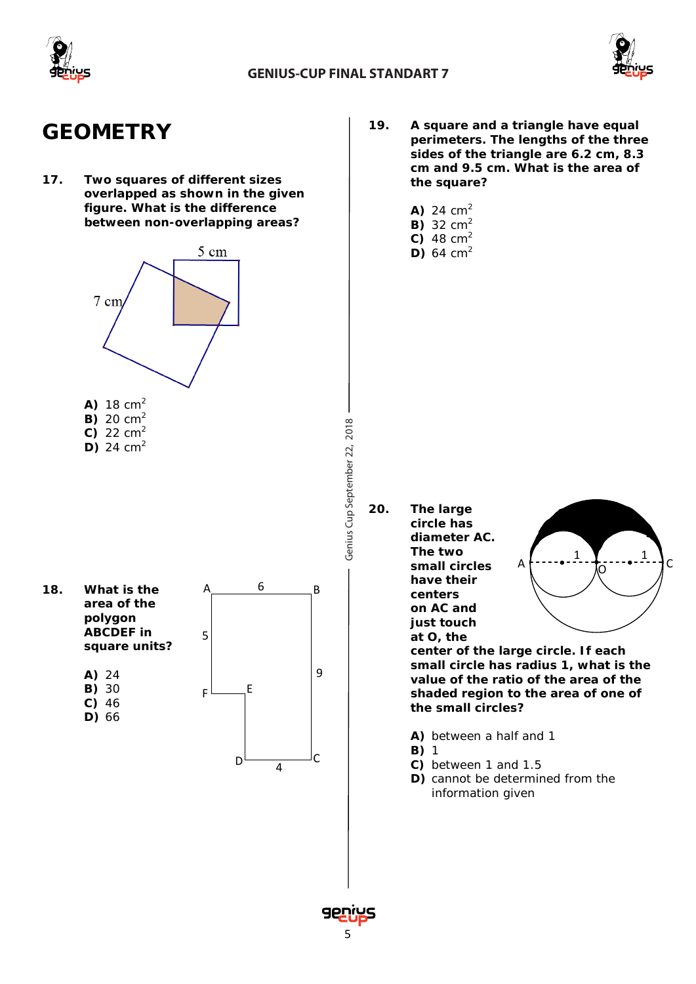



# **GEOMETRY**

**17. Two squares of different sizes overlapped as shown in the given figure. What is the difference between non-overlapping areas?**



- $C)$  22  $cm<sup>2</sup>$
- **D)** 24  $cm<sup>2</sup>$

**18. What is the area of the polygon ABCDEF in square units? A)** 24 **B)** 30 **C)** 46 **D)** 66  $A \sim 6 \sim B$  $D \longrightarrow C$  $_{\sf F}$   $\sqcup$   $_{\sf F}$ 6 9 5 4

- **19. A square and a triangle have equal perimeters. The lengths of the three sides of the triangle are 6.2 cm, 8.3 cm and 9.5 cm. What is the area of the square?**
	- **A)** 24 cm<sup>2</sup>
	- **B)** 32 cm<sup>2</sup>
	- **C)** 48  $cm<sup>2</sup>$
	- **D)** 64  $cm<sup>2</sup>$

Cup September 22, 2018

Genius Cup September 22, 2018

**20. The large circle has diameter AC. The two small circles have their centers on AC and just touch at O, the** 



**center of the large circle. If each small circle has radius 1, what is the value of the ratio of the area of the shaded region to the area of one of the small circles?**

- **A)** between a half and 1
- **B)** 1
- **C)** between 1 and 1.5
- **D)** cannot be determined from the information given

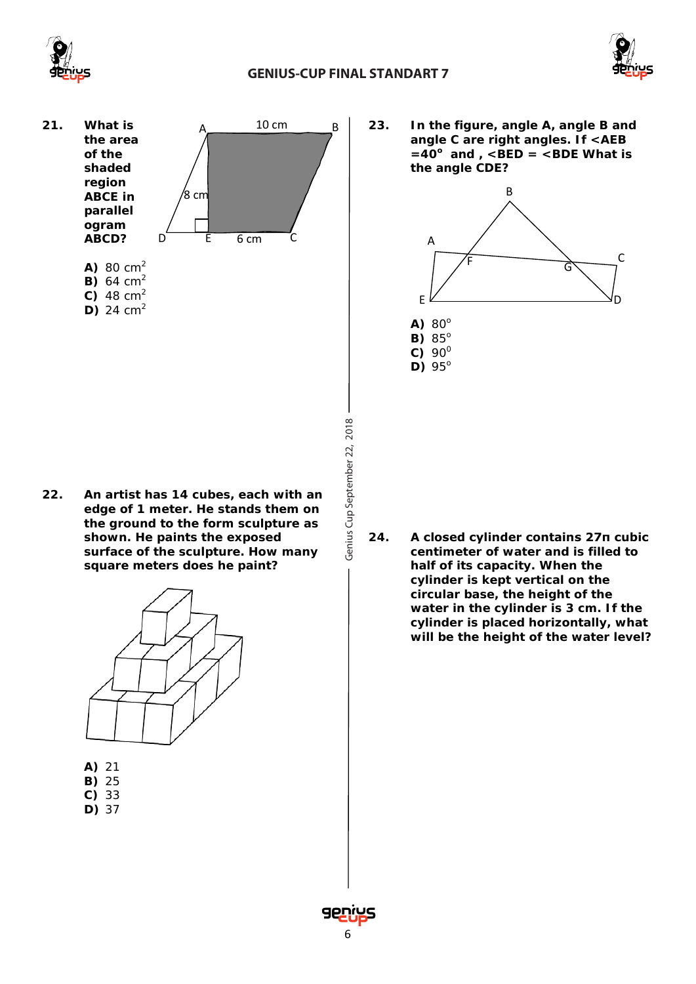

### **GENIUS-CUP FINAL STANDART 7**



**21. What is the area of the shaded region ABCE in parallel ogram ABCD? A)** 80 cm<sup>2</sup>

> **B)** 64 cm<sup>2</sup> **C)** 48 cm<sup>2</sup> **D)** 24  $cm<sup>2</sup>$



- Genius Cup September 22, 2018 Cup September 22, 2018
- **22. An artist has 14 cubes, each with an edge of 1 meter. He stands them on the ground to the form sculpture as shown. He paints the exposed surface of the sculpture. How many square meters does he paint?**



- **A)** 21
- **B)** 25
- **C)** 33 **D)** 37

**23. In the figure, angle A, angle B and angle C are right angles. If <AEB**   $=40^\circ$  and  $\overline{)$ , <BED = <BDE What is **the angle CDE?**



A) 80<sup>o</sup> **B)** 85°  $C) 90^0$ **D)** 95°

**24. A closed cylinder contains 27π cubic centimeter of water and is filled to half of its capacity. When the cylinder is kept vertical on the circular base, the height of the water in the cylinder is 3 cm. If the cylinder is placed horizontally, what will be the height of the water level?**

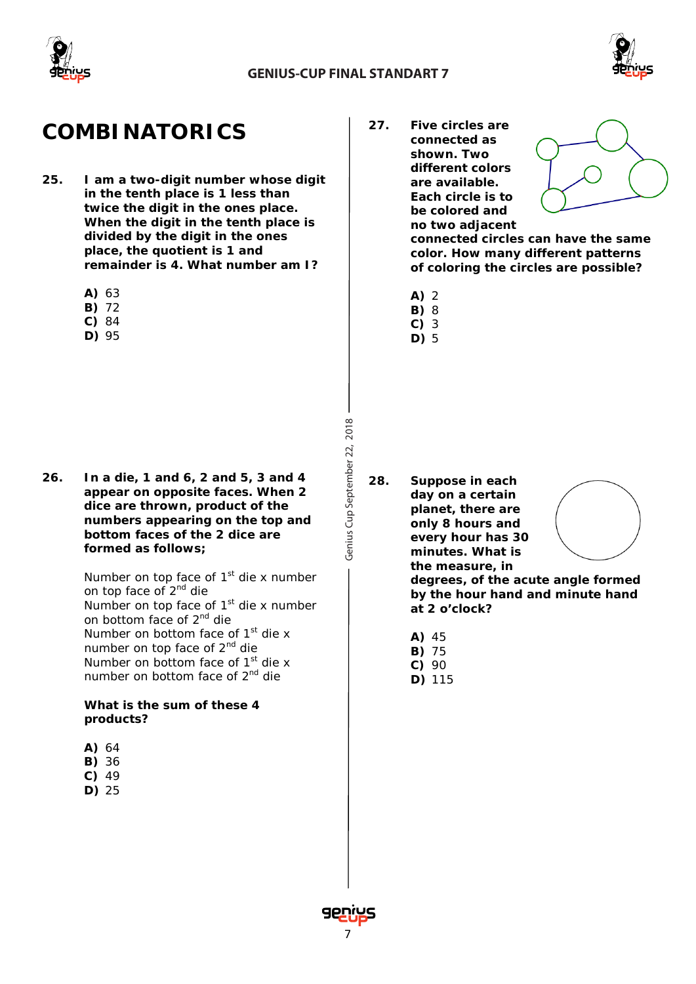

Genius Cup September 22, 2018



# **COMBINATORICS**

- **25. I am a two-digit number whose digit in the tenth place is 1 less than twice the digit in the ones place. When the digit in the tenth place is divided by the digit in the ones place, the quotient is 1 and remainder is 4. What number am I?**
	- **A)** 63
	- **B)** 72
	- **C)** 84
	- **D)** 95

**26. In a die, 1 and 6, 2 and 5, 3 and 4 appear on opposite faces. When 2 dice are thrown, product of the numbers appearing on the top and bottom faces of the 2 dice are formed as follows;**

> Number on top face of  $1<sup>st</sup>$  die x number on top face of 2<sup>nd</sup> die Number on top face of  $1<sup>st</sup>$  die x number on bottom face of 2nd die Number on bottom face of  $1<sup>st</sup>$  die x number on top face of 2<sup>nd</sup> die Number on bottom face of  $1<sup>st</sup>$  die x number on bottom face of 2<sup>nd</sup> die

**What is the sum of these 4 products?**

- **A)** 64
- **B)** 36
- **C)** 49
- **D)** 25

**27. Five circles are connected as shown. Two different colors are available. Each circle is to be colored and no two adjacent** 



**connected circles can have the same color. How many different patterns of coloring the circles are possible?**

- **A)** 2
- **B)** 8 **C)** 3
- **D)** 5

**28. Suppose in each day on a certain planet, there are only 8 hours and every hour has 30 minutes. What is the measure, in** 



**degrees, of the acute angle formed by the hour hand and minute hand at 2 o'clock?**

- **A)** 45
- **B)** 75
- **C)** 90 **D)** 115

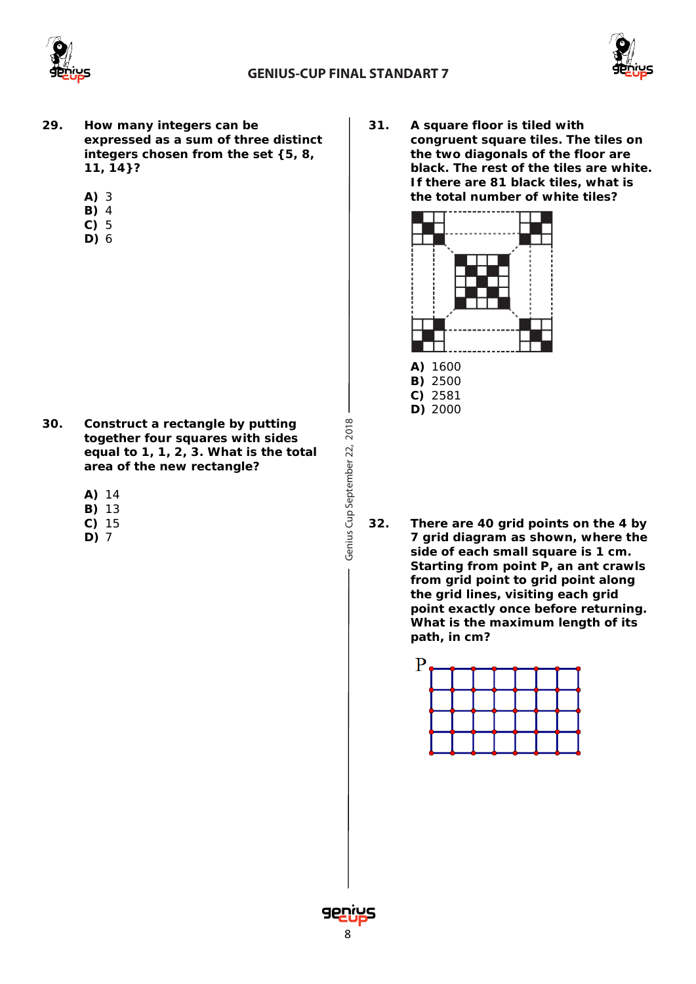

Genius Cup September 22, 2018



- **29. How many integers can be expressed as a sum of three distinct integers chosen from the set {5, 8, 11, 14}?** 
	- **A)** 3
	- **B)** 4
	- **C)** 5
	- **D)** 6

- **30. Construct a rectangle by putting together four squares with sides equal to 1, 1, 2, 3. What is the total area of the new rectangle?**
	- **A)** 14
	- **B)** 13
	- **C)** 15
	- **D)** 7

**31. A square floor is tiled with congruent square tiles. The tiles on the two diagonals of the floor are black. The rest of the tiles are white. If there are 81 black tiles, what is the total number of white tiles?**



**32. There are 40 grid points on the 4 by 7 grid diagram as shown, where the side of each small square is 1 cm. Starting from point P, an ant crawls from grid point to grid point along the grid lines, visiting each grid point exactly once before returning. What is the maximum length of its path, in cm?**



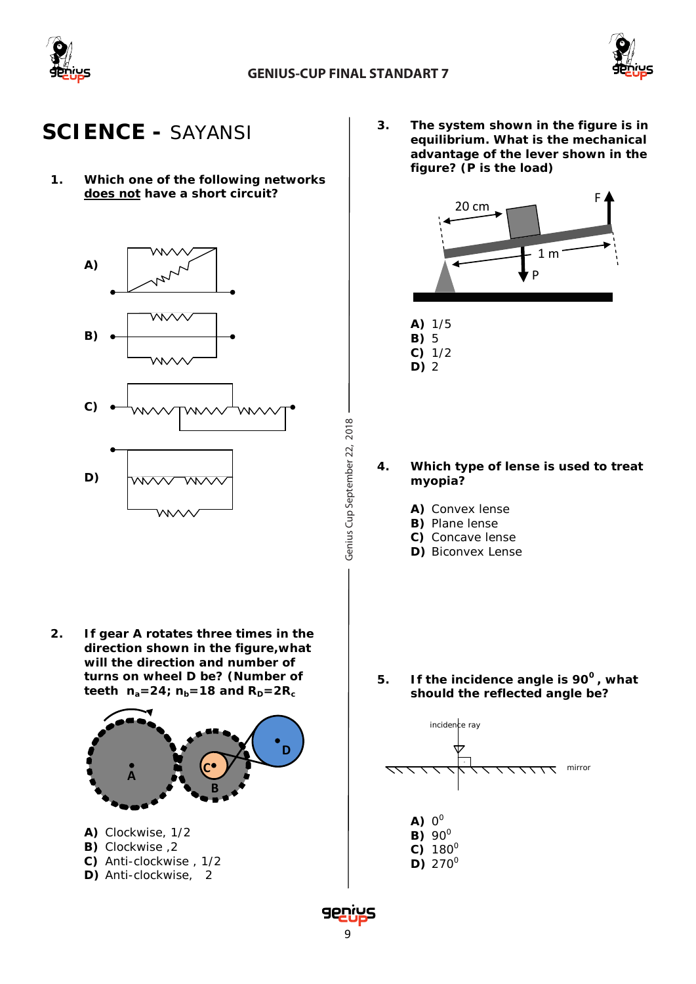

Genius Cup September 22, 2018



## **SCIENCE -** *SAYANSI*

**1. Which one of the following networks does not have a short circuit?**



**2. If gear A rotates three times in the direction shown in the figure,what will the direction and number of turns on wheel D be? (Number of**  teeth  $n_a = 24$ ;  $n_b = 18$  and  $R_p = 2R_c$ 



**B)** Clockwise ,2 **C)** Anti-clockwise , 1/2 **D)** Anti-clockwise, 2

**3. The system shown in the figure is in equilibrium. What is the mechanical advantage of the lever shown in the figure? (P is the load)**





- **4. Which type of lense is used to treat myopia?**
	- **A)** Convex lense
	- **B)** Plane lense
	- **C)** Concave lense
	- **D)** Biconvex Lense

**5. If the incidence angle is 900 , what should the reflected angle be?**



 $D)$  270 $^{\circ}$ 

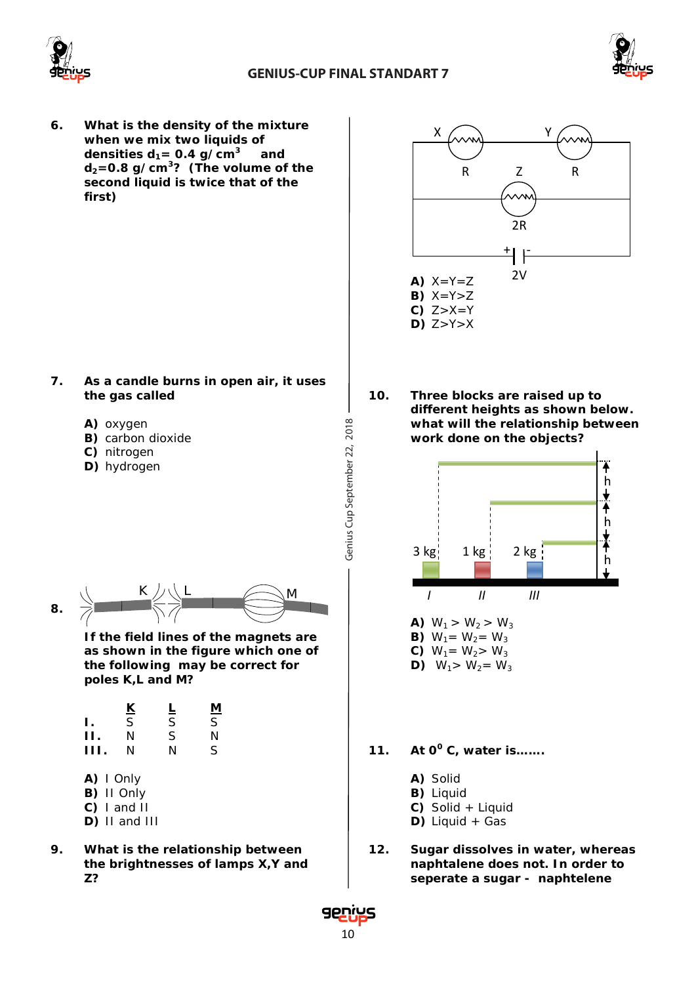



**6. What is the density of the mixture**  when we mix two liquids of<br>densities  $d_1 = 0.4$  g/cm<sup>3</sup> and densities  $d_1 = 0.4$  g/cm<sup>3</sup> **d2=0.8 g/cm3? (The volume of the second liquid is twice that of the first)**

- **7. As a candle burns in open air, it uses the gas called** 
	- **A)** oxygen
	- **B)** carbon dioxide
	- **C)** nitrogen
	- **D)** hydrogen



- **8.** K *J* **I I II II III III** 
	- **If the field lines of the magnets are as shown in the figure which one of the following may be correct for poles K,L and M?**

|     | <u>К</u> | ╘ | <u>М</u> |
|-----|----------|---|----------|
| Ι.  | S        | Ś | S        |
| п   | N        | S | N        |
| HL. | N        | N | S        |

- **A)** I Only
- **B)** II Only
- **C)** I and II
- **D)** II and III
- **9. What is the relationship between the brightnesses of lamps X,Y and Z?**



**10. Three blocks are raised up to different heights as shown below. what will the relationship between work done on the objects?** 



- **11. At 0<sup>0</sup> C, water is…….**
	- **A)** Solid
	- **B)** Liquid
	- **C)** Solid + Liquid
	- **D)** Liquid + Gas
- **12. Sugar dissolves in water, whereas naphtalene does not. In order to seperate a sugar - naphtelene**

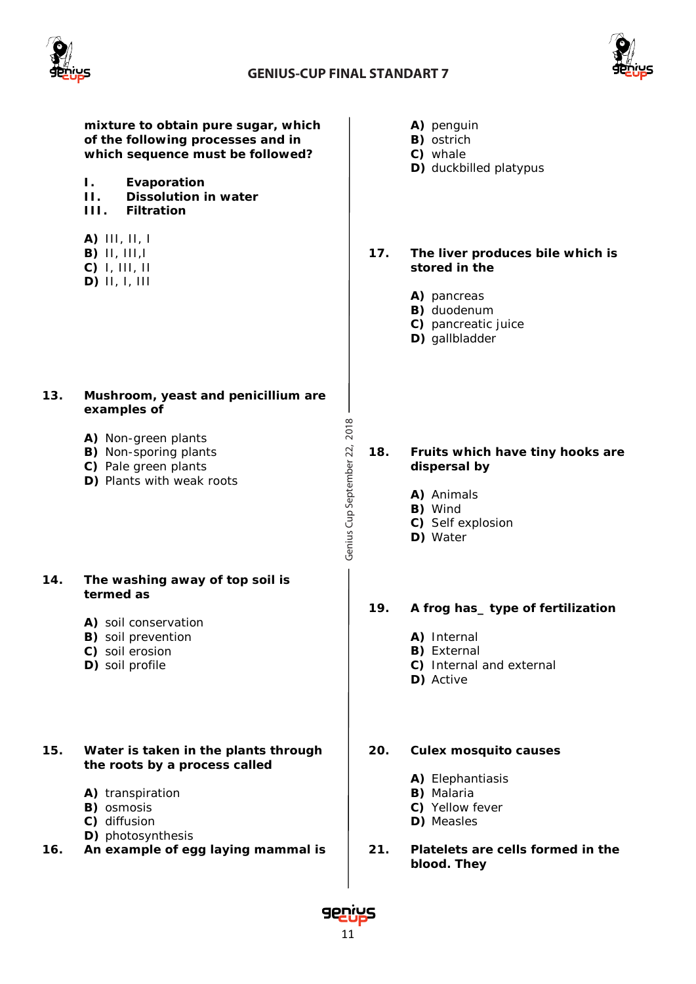

Genius Cup September 22, 2018



**mixture to obtain pure sugar, which of the following processes and in which sequence must be followed?** 

- **I. Evaporation**
- **II. Dissolution in water**
- **Filtration**
- **A)** III, II, I
- **B)** II, III,I
- **C)** I, III, II
- **D)** II, I, III

#### **13. Mushroom, yeast and penicillium are examples of**

- **A)** Non-green plants
- **B)** Non-sporing plants
- **C)** Pale green plants
- **D)** Plants with weak roots

#### **14. The washing away of top soil is termed as**

- **A)** soil conservation
- **B)** soil prevention
- **C)** soil erosion
- **D)** soil profile

### **15. Water is taken in the plants through the roots by a process called**

- **A)** transpiration
- **B)** osmosis
- **C)** diffusion
- **D)** photosynthesis
- **16. An example of egg laying mammal is**
- **A)** penguin
- **B)** ostrich
- **C)** whale
- **D)** duckbilled platypus

**17. The liver produces bile which is stored in the**

- **A)** pancreas
- **B)** duodenum
- **C)** pancreatic juice
- **D)** gallbladder

**18. Fruits which have tiny hooks are dispersal by**

- **A)** Animals
- **B)** Wind
- **C)** Self explosion
- **D)** Water

### **19. A frog has\_ type of fertilization**

- **A)** Internal
- **B)** External
- **C)** Internal and external
- **D)** Active

### **20. Culex mosquito causes**

- **A)** Elephantiasis
- **B)** Malaria
- **C)** Yellow fever
- **D)** Measles
- **21. Platelets are cells formed in the blood. They**